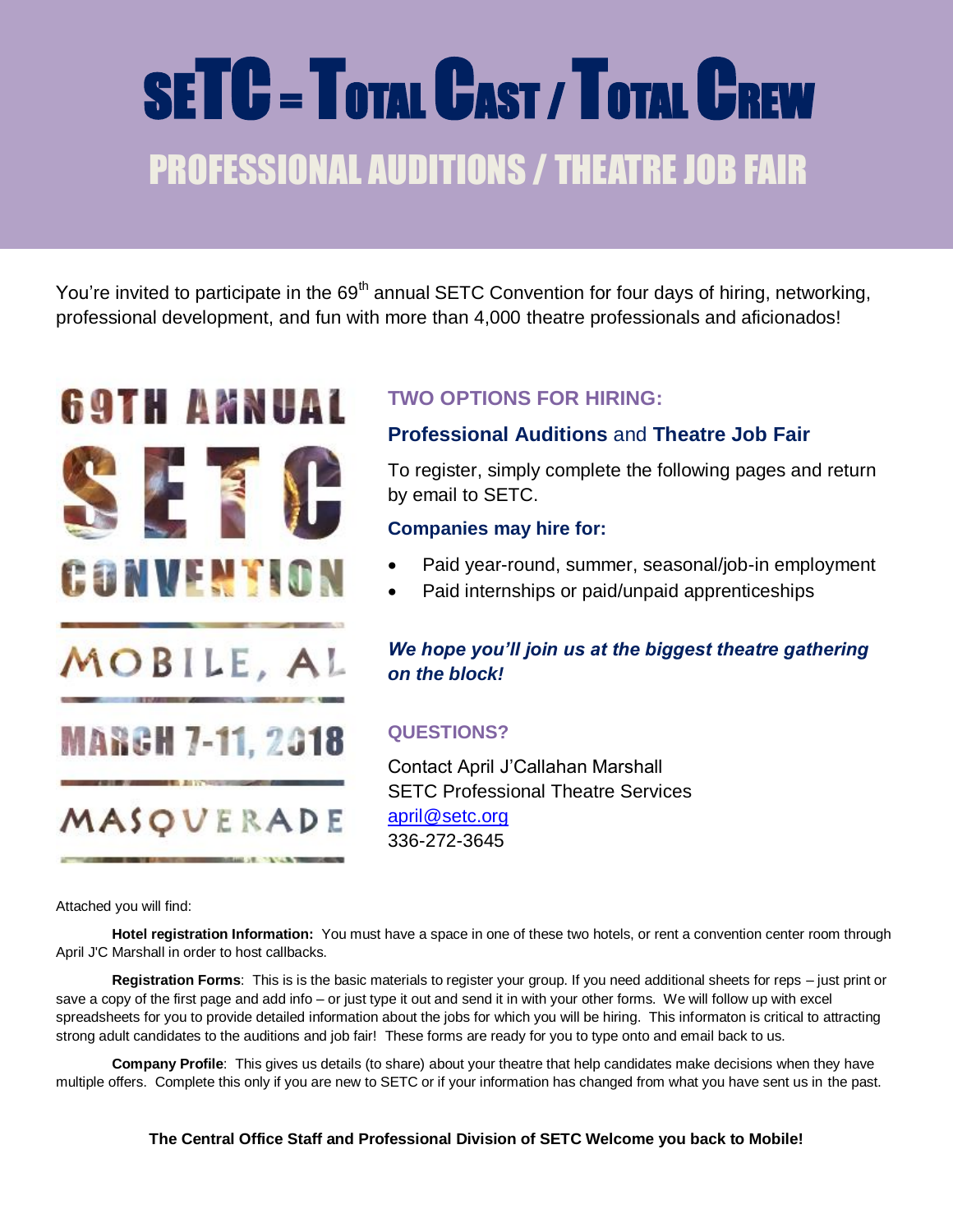# SETC - TOTAL CAST / TOTAL CREW PROFESSIONAL AUDITIONS / THEATRE JOB FAIR

You're invited to participate in the 69<sup>th</sup> annual SETC Convention for four days of hiring, networking, professional development, and fun with more than 4,000 theatre professionals and aficionados!



MOBILE, AL

**MARGH 7-11, 2018** 

MASQUERADE

**BACK OF THE CARD THE** 

# **TWO OPTIONS FOR HIRING:**

# **Professional Auditions** and **Theatre Job Fair**

To register, simply complete the following pages and return by email to SETC.

### **Companies may hire for:**

- Paid year-round, summer, seasonal/job-in employment
- Paid internships or paid/unpaid apprenticeships

# *We hope you'll join us at the biggest theatre gathering on the block!*

# **QUESTIONS?**

Contact April J'Callahan Marshall SETC Professional Theatre Services [april@setc.org](mailto:april@setc.org) 336-272-3645

Attached you will find:

**Hotel registration Information:** You must have a space in one of these two hotels, or rent a convention center room through April J'C Marshall in order to host callbacks.

**Registration Forms**: This is is the basic materials to register your group. If you need additional sheets for reps – just print or save a copy of the first page and add info – or just type it out and send it in with your other forms. We will follow up with excel spreadsheets for you to provide detailed information about the jobs for which you will be hiring. This informaton is critical to attracting strong adult candidates to the auditions and job fair! These forms are ready for you to type onto and email back to us.

**Company Profile**: This gives us details (to share) about your theatre that help candidates make decisions when they have multiple offers. Complete this only if you are new to SETC or if your information has changed from what you have sent us in the past.

**The Central Office Staff and Professional Division of SETC Welcome you back to Mobile!**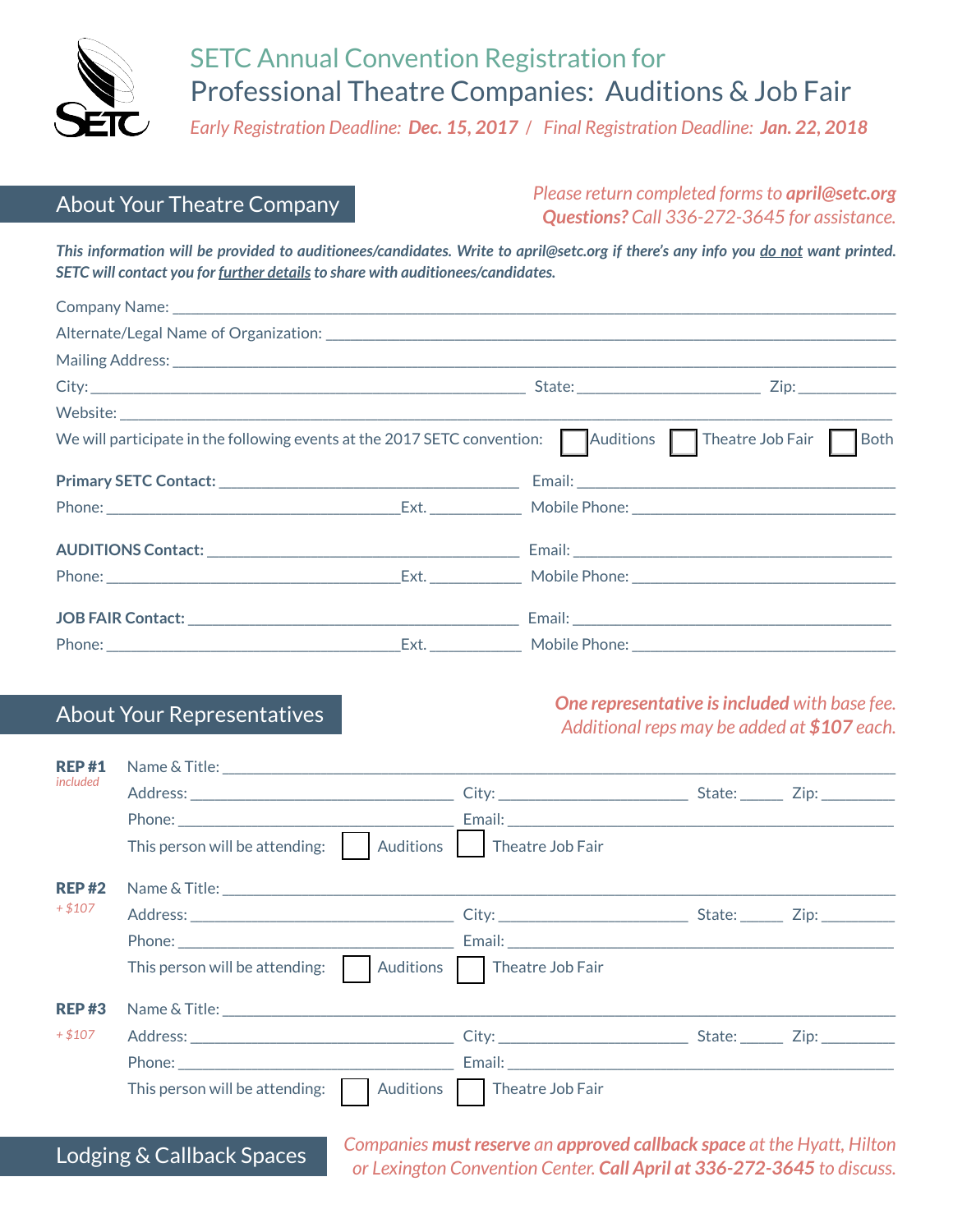

# SETC Annual Convention Registration for Professional Theatre Companies: Auditions & Job Fair

*Early Registration Deadline: Dec. 15, 2017 / Final Registration Deadline: Jan. 22, 2018*

# About Your Theatre Company

*Please return completed forms to april@setc.org Questions? Call 336-272-3645 for assistance.*

*This information will be provided to auditionees/candidates. Write to april@setc.org if there's any info you do not want printed. SETC will contact you for further details to share with auditionees/candidates.* 

| We will participate in the following events at the 2017 SETC convention: $\Box$ Auditions $\Box$ Theatre Job Fair $\Box$ Both |                                                      |  |
|-------------------------------------------------------------------------------------------------------------------------------|------------------------------------------------------|--|
|                                                                                                                               |                                                      |  |
|                                                                                                                               |                                                      |  |
|                                                                                                                               |                                                      |  |
|                                                                                                                               |                                                      |  |
|                                                                                                                               |                                                      |  |
|                                                                                                                               | Ext. ________________ Mobile Phone: ________________ |  |

### About Your Representatives *One representative is included with base fee. Additional reps may be added at \$107 each.*

| <b>REP#1</b> |                                             |                              |  |  |  |
|--------------|---------------------------------------------|------------------------------|--|--|--|
| included     |                                             |                              |  |  |  |
|              |                                             |                              |  |  |  |
|              | Auditions<br>This person will be attending: | Theatre Job Fair             |  |  |  |
| <b>REP#2</b> |                                             |                              |  |  |  |
| $+ $107$     |                                             |                              |  |  |  |
|              |                                             |                              |  |  |  |
|              | This person will be attending:              | Auditions   Theatre Job Fair |  |  |  |
| <b>REP#3</b> |                                             |                              |  |  |  |
| $+ $107$     |                                             |                              |  |  |  |
|              |                                             |                              |  |  |  |
|              | This person will be attending:<br>Auditions | Theatre Job Fair             |  |  |  |

*Companies must reserve an approved callback space at the Hyatt, Hilton or Lexington Convention Center. Call April at 336-272-3645 to discuss.* Lodging & Callback Spaces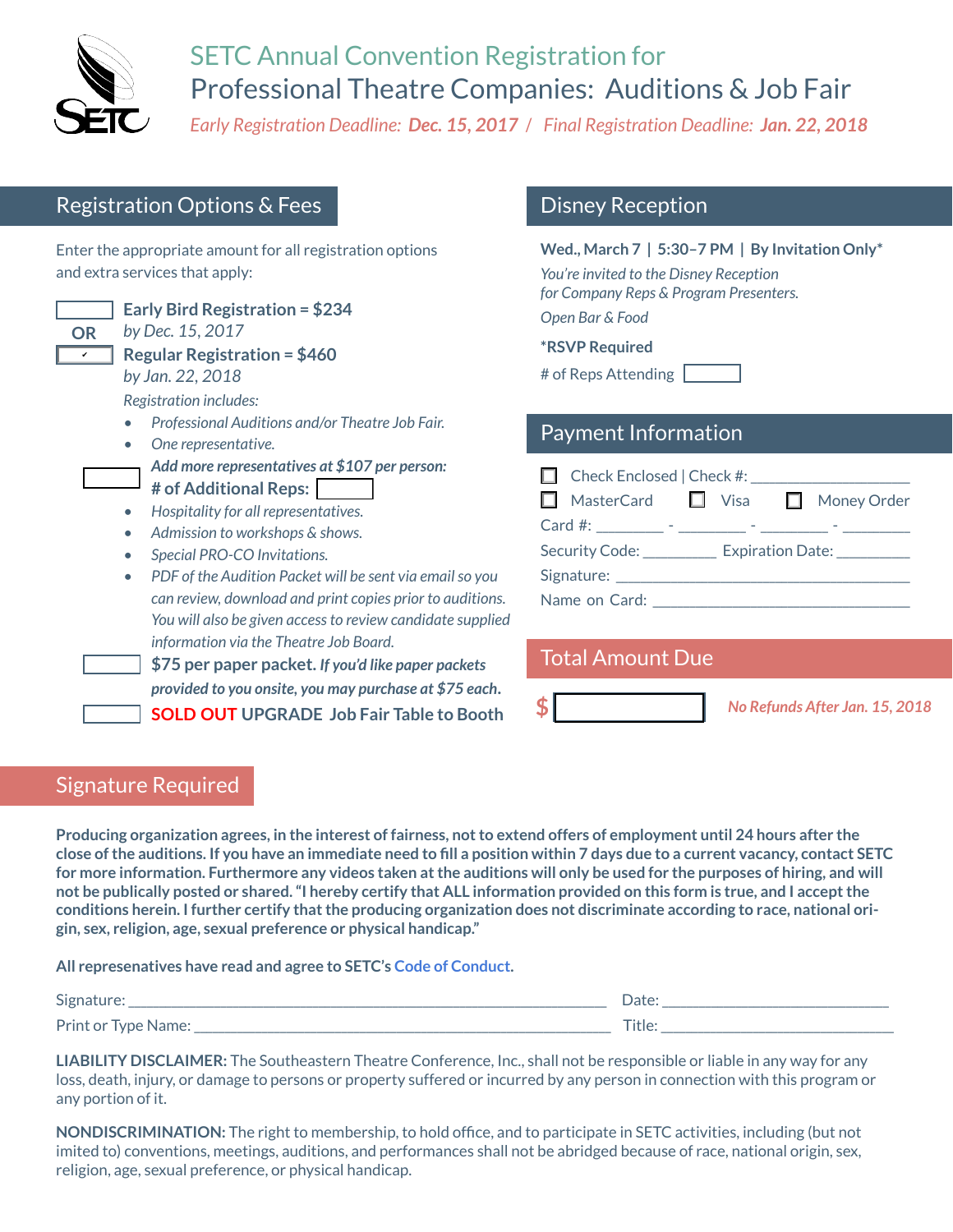

# SETC Annual Convention Registration for Professional Theatre Companies: Auditions & Job Fair

*Early Registration Deadline: Dec. 15, 2017 / Final Registration Deadline: Jan. 22, 2018*

# Registration Options & Fees

Enter the appropriate amount for all registration options and extra services that apply:

**Early Bird Registration = \$234** *by Dec. 15, 2017* **Regular Registration = \$460** ✔*by Jan. 22, 2018 Registration includes:*

- *• Professional Auditions and/or Theatre Job Fair.*
- *• One representative. Add more representatives at \$107 per person:*
- **# of Additional Reps:**
- *• Hospitality for all representatives.*
- Admission to workshops & shows.
- *• Special PRO-CO Invitations.*
- *• PDF of the Audition Packet will be sent via email so you can review, download and print copies prior to auditions. You will also be given access to review candidate supplied information via the Theatre Job Board.*
- **\$75 per paper packet.** *If you'd like paper packets provided to you onsite, you may purchase at \$75 each***. SOLD OUT UPGRADE Job Fair Table to Booth**

# Disney Reception

Payment Information **Wed., March 7 | 5:30–7 PM | By Invitation Only\*** *You're invited to the Disney Reception for Company Reps & Program Presenters. Open Bar & Food*  **\*RSVP Required** # of Reps Attending

| $\Box$ Check Enclosed   Check #: |  |
|----------------------------------|--|

| $\Box$ MasterCard $\Box$             | Visa | $\Box$ Money Order          |
|--------------------------------------|------|-----------------------------|
| Card #: _________ - _________        |      |                             |
| Security Code: <b>Security</b> Code: |      | Expiration Date: __________ |
| Signature: _____________             |      |                             |
| Name on Card:                        |      |                             |

| <b>Total Amount Due</b> |  |  |  |
|-------------------------|--|--|--|
|-------------------------|--|--|--|

T**\$** *No Refunds After Jan. 15, 201<sup>8</sup>*

# Signature Required

**Producing organization agrees, in the interest of fairness, not to extend offers of employment until 24 hours after the close of the auditions. If you have an immediate need to fill a position within 7 days due to a current vacancy, contact SETC for more information. Furthermore any videos taken at the auditions will only be used for the purposes of hiring, and will not be publically posted or shared. "I hereby certify that ALL information provided on this form is true, and I accept the conditions herein. I further certify that the producing organization does not discriminate according to race, national origin, sex, religion, age, sexual preference or physical handicap."** 

**All represenatives have read and agree to SETC's [Code of Conduct.](www.setc.org/code-of-conduct)**

| Signature:          | Date:  |
|---------------------|--------|
| Print or Type Name: | Title: |

**LIABILITY DISCLAIMER:** The Southeastern Theatre Conference, Inc., shall not be responsible or liable in any way for any loss, death, injury, or damage to persons or property suffered or incurred by any person in connection with this program or any portion of it.

**NONDISCRIMINATION:** The right to membership, to hold office, and to participate in SETC activities, including (but not imited to) conventions, meetings, auditions, and performances shall not be abridged because of race, national origin, sex, religion, age, sexual preference, or physical handicap.